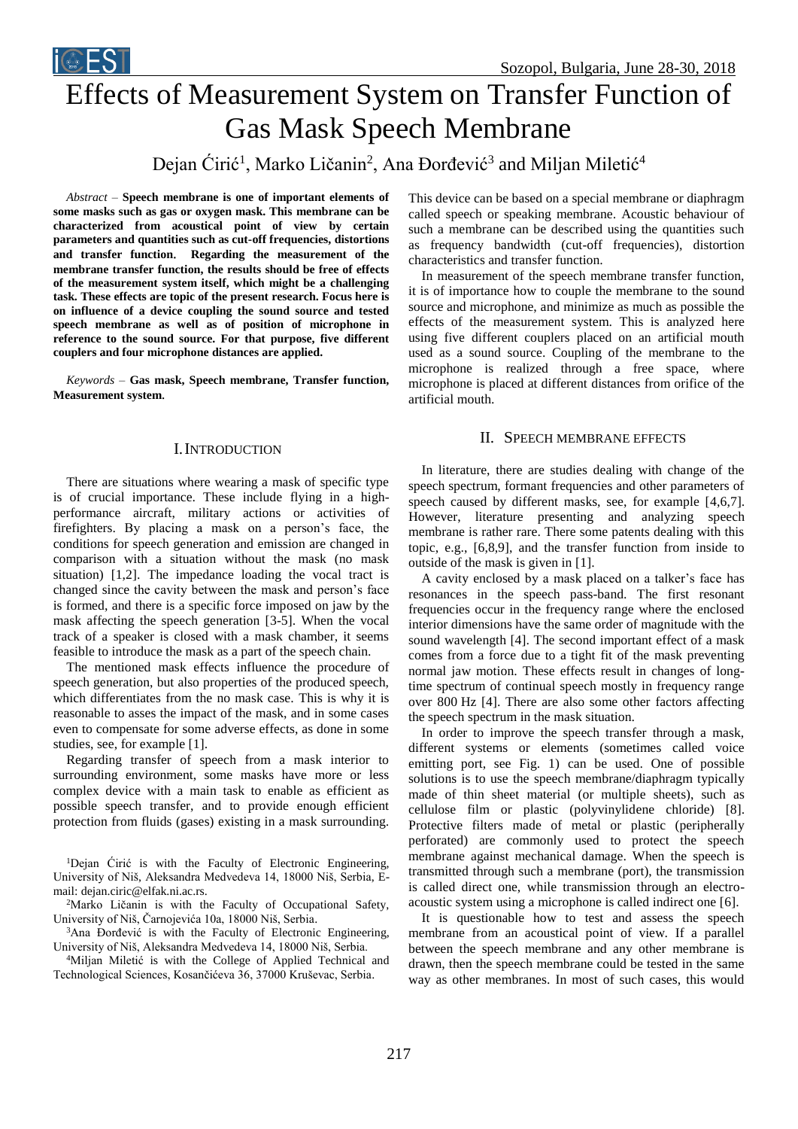



# Effects of Measurement System on Transfer Function of Gas Mask Speech Membrane

Dejan Ćirić<sup>1</sup>, Marko Ličanin<sup>2</sup>, Ana Đorđević<sup>3</sup> and Miljan Miletić<sup>4</sup>

*Abstract –* **Speech membrane is one of important elements of some masks such as gas or oxygen mask. This membrane can be characterized from acoustical point of view by certain parameters and quantities such as cut-off frequencies, distortions and transfer function**. **Regarding the measurement of the membrane transfer function, the results should be free of effects of the measurement system itself, which might be a challenging task. These effects are topic of the present research. Focus here is on influence of a device coupling the sound source and tested speech membrane as well as of position of microphone in reference to the sound source. For that purpose, five different couplers and four microphone distances are applied.**

*Keywords –* **Gas mask, Speech membrane, Transfer function, Measurement system**.

## I.INTRODUCTION

There are situations where wearing a mask of specific type is of crucial importance. These include flying in a highperformance aircraft, military actions or activities of firefighters. By placing a mask on a person's face, the conditions for speech generation and emission are changed in comparison with a situation without the mask (no mask situation) [1,2]. The impedance loading the vocal tract is changed since the cavity between the mask and person's face is formed, and there is a specific force imposed on jaw by the mask affecting the speech generation [3-5]. When the vocal track of a speaker is closed with a mask chamber, it seems feasible to introduce the mask as a part of the speech chain.

The mentioned mask effects influence the procedure of speech generation, but also properties of the produced speech, which differentiates from the no mask case. This is why it is reasonable to asses the impact of the mask, and in some cases even to compensate for some adverse effects, as done in some studies, see, for example [1].

Regarding transfer of speech from a mask interior to surrounding environment, some masks have more or less complex device with a main task to enable as efficient as possible speech transfer, and to provide enough efficient protection from fluids (gases) existing in a mask surrounding.

<sup>1</sup>Dejan Ćirić is with the Faculty of Electronic Engineering, University of Niš, Aleksandra Medvedeva 14, 18000 Niš, Serbia, Email: dejan.ciric@elfak.ni.ac.rs.

<sup>2</sup>Marko Ličanin is with the Faculty of Occupational Safety, University of Niš, Čarnojevića 10a, 18000 Niš, Serbia.

<sup>3</sup>Ana Đorđević is with the Faculty of Electronic Engineering, University of Niš, Aleksandra Medvedeva 14, 18000 Niš, Serbia.

<sup>4</sup>Miljan Miletić is with the College of Applied Technical and Technological Sciences, Kosančićeva 36, 37000 Kruševac, Serbia.

This device can be based on a special membrane or diaphragm called speech or speaking membrane. Acoustic behaviour of such a membrane can be described using the quantities such as frequency bandwidth (cut-off frequencies), distortion characteristics and transfer function.

In measurement of the speech membrane transfer function, it is of importance how to couple the membrane to the sound source and microphone, and minimize as much as possible the effects of the measurement system. This is analyzed here using five different couplers placed on an artificial mouth used as a sound source. Coupling of the membrane to the microphone is realized through a free space, where microphone is placed at different distances from orifice of the artificial mouth.

## II. SPEECH MEMBRANE EFFECTS

In literature, there are studies dealing with change of the speech spectrum, formant frequencies and other parameters of speech caused by different masks, see, for example [4,6,7]. However, literature presenting and analyzing speech membrane is rather rare. There some patents dealing with this topic, e.g., [6,8,9], and the transfer function from inside to outside of the mask is given in [1].

A cavity enclosed by a mask placed on a talker's face has resonances in the speech pass-band. The first resonant frequencies occur in the frequency range where the enclosed interior dimensions have the same order of magnitude with the sound wavelength [4]. The second important effect of a mask comes from a force due to a tight fit of the mask preventing normal jaw motion. These effects result in changes of longtime spectrum of continual speech mostly in frequency range over 800 Hz [4]. There are also some other factors affecting the speech spectrum in the mask situation.

In order to improve the speech transfer through a mask, different systems or elements (sometimes called voice emitting port, see Fig. 1) can be used. One of possible solutions is to use the speech membrane/diaphragm typically made of thin sheet material (or multiple sheets), such as cellulose film or plastic (polyvinylidene chloride) [8]. Protective filters made of metal or plastic (peripherally perforated) are commonly used to protect the speech membrane against mechanical damage. When the speech is transmitted through such a membrane (port), the transmission is called direct one, while transmission through an electroacoustic system using a microphone is called indirect one [6].

It is questionable how to test and assess the speech membrane from an acoustical point of view. If a parallel between the speech membrane and any other membrane is drawn, then the speech membrane could be tested in the same way as other membranes. In most of such cases, this would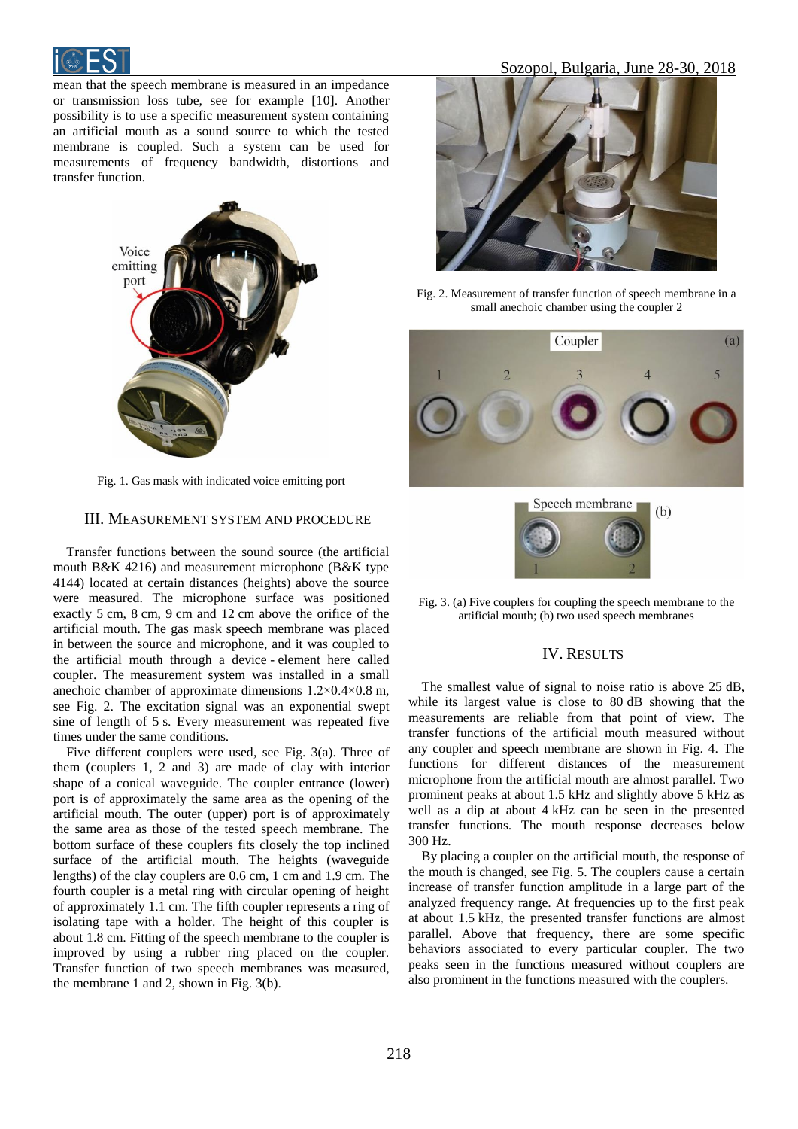

mean that the speech membrane is measured in an impedance or transmission loss tube, see for example [10]. Another possibility is to use a specific measurement system containing an artificial mouth as a sound source to which the tested membrane is coupled. Such a system can be used for measurements of frequency bandwidth, distortions and transfer function.



Fig. 1. Gas mask with indicated voice emitting port

#### III. MEASUREMENT SYSTEM AND PROCEDURE

Transfer functions between the sound source (the artificial mouth B&K 4216) and measurement microphone (B&K type 4144) located at certain distances (heights) above the source were measured. The microphone surface was positioned exactly 5 cm, 8 cm, 9 cm and 12 cm above the orifice of the artificial mouth. The gas mask speech membrane was placed in between the source and microphone, and it was coupled to the artificial mouth through a device - element here called coupler. The measurement system was installed in a small anechoic chamber of approximate dimensions 1.2×0.4×0.8 m, see Fig. 2. The excitation signal was an exponential swept sine of length of 5 s. Every measurement was repeated five times under the same conditions.

Five different couplers were used, see Fig. 3(a). Three of them (couplers 1, 2 and 3) are made of clay with interior shape of a conical waveguide. The coupler entrance (lower) port is of approximately the same area as the opening of the artificial mouth. The outer (upper) port is of approximately the same area as those of the tested speech membrane. The bottom surface of these couplers fits closely the top inclined surface of the artificial mouth. The heights (waveguide lengths) of the clay couplers are 0.6 cm, 1 cm and 1.9 cm. The fourth coupler is a metal ring with circular opening of height of approximately 1.1 cm. The fifth coupler represents a ring of isolating tape with a holder. The height of this coupler is about 1.8 cm. Fitting of the speech membrane to the coupler is improved by using a rubber ring placed on the coupler. Transfer function of two speech membranes was measured, the membrane 1 and 2, shown in Fig. 3(b).



Fig. 2. Measurement of transfer function of speech membrane in a small anechoic chamber using the coupler 2



Fig. 3. (a) Five couplers for coupling the speech membrane to the artificial mouth; (b) two used speech membranes

## IV. RESULTS

The smallest value of signal to noise ratio is above 25 dB, while its largest value is close to 80 dB showing that the measurements are reliable from that point of view. The transfer functions of the artificial mouth measured without any coupler and speech membrane are shown in Fig. 4. The functions for different distances of the measurement microphone from the artificial mouth are almost parallel. Two prominent peaks at about 1.5 kHz and slightly above 5 kHz as well as a dip at about 4 kHz can be seen in the presented transfer functions. The mouth response decreases below 300 Hz.

By placing a coupler on the artificial mouth, the response of the mouth is changed, see Fig. 5. The couplers cause a certain increase of transfer function amplitude in a large part of the analyzed frequency range. At frequencies up to the first peak at about 1.5 kHz, the presented transfer functions are almost parallel. Above that frequency, there are some specific behaviors associated to every particular coupler. The two peaks seen in the functions measured without couplers are also prominent in the functions measured with the couplers.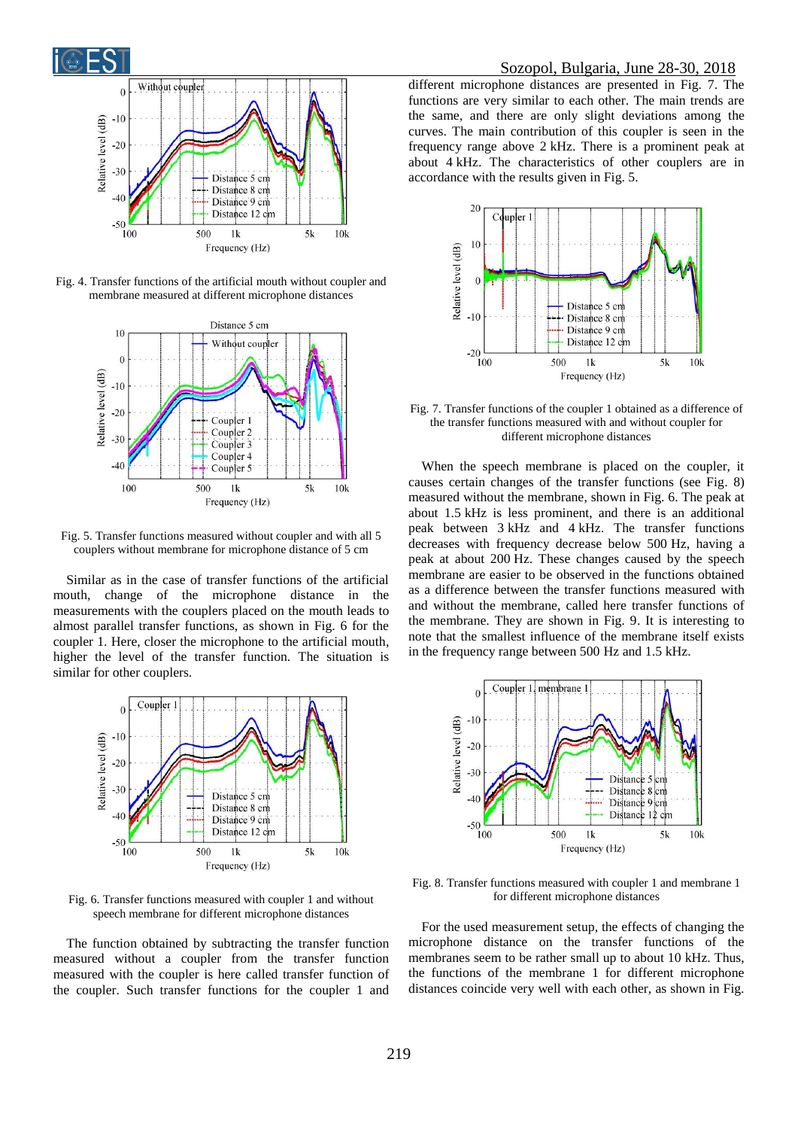

Fig. 4. Transfer functions of the artificial mouth without coupler and membrane measured at different microphone distances



Fig. 5. Transfer functions measured without coupler and with all 5 couplers without membrane for microphone distance of 5 cm

Similar as in the case of transfer functions of the artificial mouth, change of the microphone distance in the measurements with the couplers placed on the mouth leads to almost parallel transfer functions, as shown in Fig. 6 for the coupler 1. Here, closer the microphone to the artificial mouth, higher the level of the transfer function. The situation is similar for other couplers.



Fig. 6. Transfer functions measured with coupler 1 and without speech membrane for different microphone distances

The function obtained by subtracting the transfer function measured without a coupler from the transfer function measured with the coupler is here called transfer function of the coupler. Such transfer functions for the coupler 1 and

different microphone distances are presented in Fig. 7. The functions are very similar to each other. The main trends are the same, and there are only slight deviations among the curves. The main contribution of this coupler is seen in the frequency range above 2 kHz. There is a prominent peak at about 4 kHz. The characteristics of other couplers are in accordance with the results given in Fig. 5.



Fig. 7. Transfer functions of the coupler 1 obtained as a difference of the transfer functions measured with and without coupler for different microphone distances

When the speech membrane is placed on the coupler, it causes certain changes of the transfer functions (see Fig. 8) measured without the membrane, shown in Fig. 6. The peak at about 1.5 kHz is less prominent, and there is an additional peak between 3 kHz and 4 kHz. The transfer functions decreases with frequency decrease below 500 Hz, having a peak at about 200 Hz. These changes caused by the speech membrane are easier to be observed in the functions obtained as a difference between the transfer functions measured with and without the membrane, called here transfer functions of the membrane. They are shown in Fig. 9. It is interesting to note that the smallest influence of the membrane itself exists in the frequency range between 500 Hz and 1.5 kHz.



Fig. 8. Transfer functions measured with coupler 1 and membrane 1 for different microphone distances

For the used measurement setup, the effects of changing the microphone distance on the transfer functions of the membranes seem to be rather small up to about 10 kHz. Thus, the functions of the membrane 1 for different microphone distances coincide very well with each other, as shown in Fig.